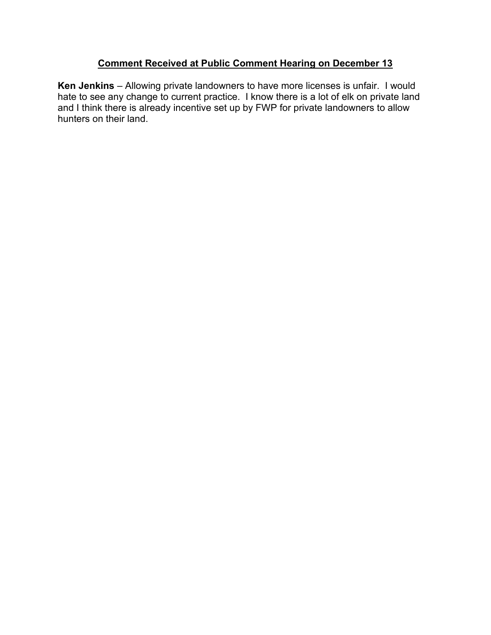## **Comment Received at Public Comment Hearing on December 13**

**Ken Jenkins** – Allowing private landowners to have more licenses is unfair. I would hate to see any change to current practice. I know there is a lot of elk on private land and I think there is already incentive set up by FWP for private landowners to allow hunters on their land.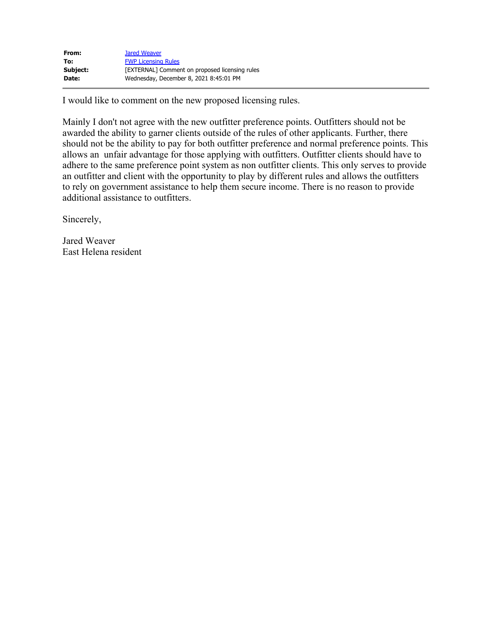| From:    | <b>Jared Weaver</b>                            |
|----------|------------------------------------------------|
| To:      | <b>FWP Licensing Rules</b>                     |
| Subject: | [EXTERNAL] Comment on proposed licensing rules |
| Date:    | Wednesday, December 8, 2021 8:45:01 PM         |

I would like to comment on the new proposed licensing rules.

Mainly I don't not agree with the new outfitter preference points. Outfitters should not be awarded the ability to garner clients outside of the rules of other applicants. Further, there should not be the ability to pay for both outfitter preference and normal preference points. This allows an unfair advantage for those applying with outfitters. Outfitter clients should have to adhere to the same preference point system as non outfitter clients. This only serves to provide an outfitter and client with the opportunity to play by different rules and allows the outfitters to rely on government assistance to help them secure income. There is no reason to provide additional assistance to outfitters.

Sincerely,

Jared Weaver East Helena resident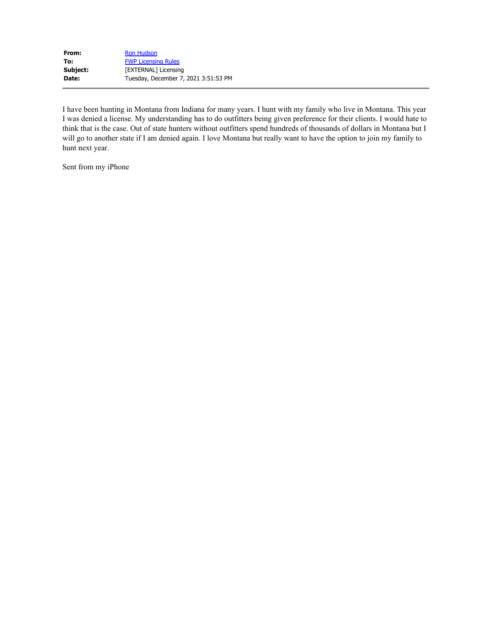| From:    | <b>Ron Hudson</b>                    |
|----------|--------------------------------------|
| To:      | <b>FWP Licensing Rules</b>           |
| Subject: | [EXTERNAL] Licensing                 |
| Date:    | Tuesday, December 7, 2021 3:51:53 PM |

I have been hunting in Montana from Indiana for many years. I hunt with my family who live in Montana. This year I was denied a license. My understanding has to do outfitters being given preference for their clients. I would hate to think that is the case. Out of state hunters without outfitters spend hundreds of thousands of dollars in Montana but I will go to another state if I am denied again. I love Montana but really want to have the option to join my family to hunt next year.

Sent from my iPhone